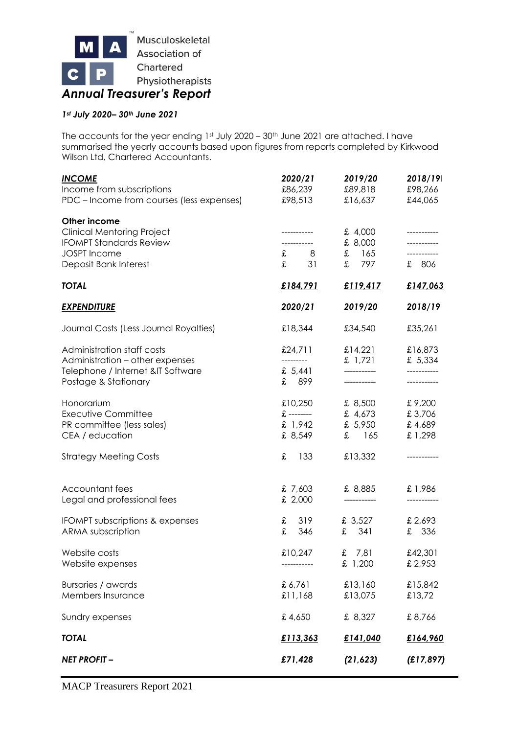

# *1st July 2020– 30th June 2021*

The accounts for the year ending 1st July 2020 - 30th June 2021 are attached. I have summarised the yearly accounts based upon figures from reports completed by Kirkwood Wilson Ltd, Chartered Accountants.

| <b>INCOME</b><br>Income from subscriptions<br>PDC – Income from courses (less expenses)                                             | 2020/21<br>£86,239<br>£98,513                         | 2019/20<br>£89,818<br>£16,637              | 2018/19<br>£98,266<br>£44,065        |
|-------------------------------------------------------------------------------------------------------------------------------------|-------------------------------------------------------|--------------------------------------------|--------------------------------------|
| Other income<br><b>Clinical Mentoring Project</b><br><b>IFOMPT Standards Review</b><br><b>JOSPT</b> Income<br>Deposit Bank Interest | -----------<br>$\texttt{f}$ 8<br>$\mathfrak{X}$<br>31 | £ 4,000<br>£ 8,000<br>$£$ 165<br>£ 797     | -----------<br>-----------<br>£ 806  |
| <b>TOTAL</b>                                                                                                                        | £184,791                                              | £119,417                                   | £147,063                             |
| <b>EXPENDITURE</b>                                                                                                                  | 2020/21                                               | 2019/20                                    | 2018/19                              |
| Journal Costs (Less Journal Royalties)                                                                                              | £18,344                                               | £34,540                                    | £35,261                              |
| Administration staff costs<br>Administration – other expenses<br>Telephone / Internet &IT Software<br>Postage & Stationary          | £24,711<br>£ $5,441$<br>£ 899                         | £14,221<br>£ $1,721$<br>------------       | £16,873<br>£ 5,334<br>------------   |
| Honorarium<br><b>Executive Committee</b><br>PR committee (less sales)<br>CEA / education                                            | £10,250<br>$\pounds$ --------<br>£ 1,942<br>£ 8,549   | £ 8,500<br>£ $4,673$<br>£ 5,950<br>$£$ 165 | £9,200<br>£3,706<br>£4,689<br>£1,298 |
| <b>Strategy Meeting Costs</b>                                                                                                       | £<br>133                                              | £13,332                                    |                                      |
| Accountant fees<br>Legal and professional fees                                                                                      | £7,603<br>£ 2,000                                     | £ 8,885<br>-----------                     | £1,986                               |
| <b>IFOMPT subscriptions &amp; expenses</b><br>ARMA subscription                                                                     | 319<br>$\mathbf f$<br>$\mathbf f$<br>346              | £ $3,527$<br>£ 341                         | £2,693<br>£ 336                      |
| Website costs<br>Website expenses                                                                                                   | £10,247                                               | £ $7,81$<br>£ 1,200                        | £42,301<br>£ 2,953                   |
| Bursaries / awards<br>Members Insurance                                                                                             | £6,761<br>£11,168                                     | £13,160<br>£13,075                         | £15,842<br>£13,72                    |
| Sundry expenses                                                                                                                     | £4,650                                                | £ 8,327                                    | £8,766                               |
| <b>TOTAL</b>                                                                                                                        | £113,363                                              | £141,040                                   | £164,960                             |
| <b>NET PROFIT-</b>                                                                                                                  | £71,428                                               | (21, 623)                                  | (E17, 897)                           |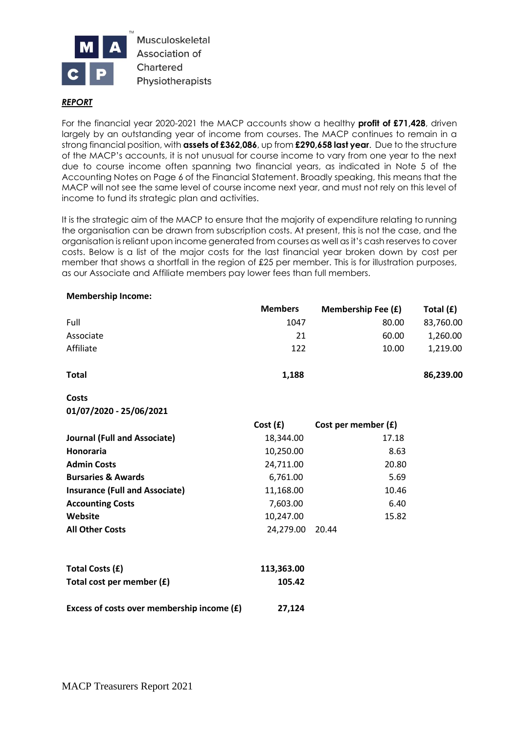

Musculoskeletal Association of Chartered Physiotherapists

#### *REPORT*

For the financial year 2020-2021 the MACP accounts show a healthy **profit of £71,428**, driven largely by an outstanding year of income from courses. The MACP continues to remain in a strong financial position, with **assets of £362,086**, up from **£290,658 last year**. Due to the structure of the MACP's accounts, it is not unusual for course income to vary from one year to the next due to course income often spanning two financial years, as indicated in Note 5 of the Accounting Notes on Page 6 of the Financial Statement. Broadly speaking, this means that the MACP will not see the same level of course income next year, and must not rely on this level of income to fund its strategic plan and activities.

It is the strategic aim of the MACP to ensure that the majority of expenditure relating to running the organisation can be drawn from subscription costs. At present, this is not the case, and the organisation is reliant upon income generated from courses as well as it's cash reserves to cover costs. Below is a list of the major costs for the last financial year broken down by cost per member that shows a shortfall in the region of £25 per member. This is for illustration purposes, as our Associate and Affiliate members pay lower fees than full members.

|                                            | <b>Members</b> | <b>Membership Fee (£)</b> | Total $(f)$ |
|--------------------------------------------|----------------|---------------------------|-------------|
| Full                                       | 1047           | 80.00                     | 83,760.00   |
| Associate                                  | 21             | 60.00                     | 1,260.00    |
| Affiliate                                  | 122            | 10.00                     | 1,219.00    |
| <b>Total</b>                               | 1,188          |                           | 86,239.00   |
| <b>Costs</b>                               |                |                           |             |
| 01/07/2020 - 25/06/2021                    |                |                           |             |
|                                            | Cost(f)        | Cost per member (£)       |             |
| <b>Journal (Full and Associate)</b>        | 18,344.00      | 17.18                     |             |
| Honoraria                                  | 10,250.00      | 8.63                      |             |
| <b>Admin Costs</b>                         | 24,711.00      | 20.80                     |             |
| <b>Bursaries &amp; Awards</b>              | 6,761.00       | 5.69                      |             |
| <b>Insurance (Full and Associate)</b>      | 11,168.00      | 10.46                     |             |
| <b>Accounting Costs</b>                    | 7,603.00       | 6.40                      |             |
| Website                                    | 10,247.00      | 15.82                     |             |
| <b>All Other Costs</b>                     | 24,279.00      | 20.44                     |             |
| Total Costs (£)                            | 113,363.00     |                           |             |
| Total cost per member (£)                  | 105.42         |                           |             |
| Excess of costs over membership income (£) | 27,124         |                           |             |

#### **Membership Income:**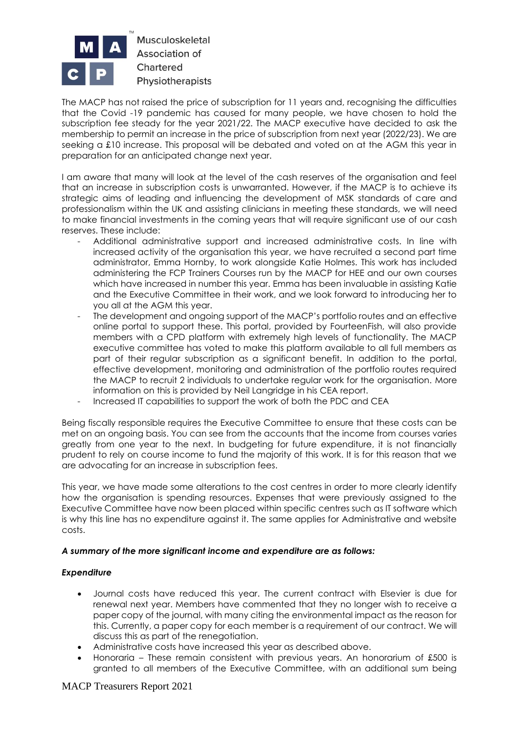

The MACP has not raised the price of subscription for 11 years and, recognising the difficulties that the Covid -19 pandemic has caused for many people, we have chosen to hold the subscription fee steady for the year 2021/22. The MACP executive have decided to ask the membership to permit an increase in the price of subscription from next year (2022/23). We are seeking a £10 increase. This proposal will be debated and voted on at the AGM this year in preparation for an anticipated change next year.

I am aware that many will look at the level of the cash reserves of the organisation and feel that an increase in subscription costs is unwarranted. However, if the MACP is to achieve its strategic aims of leading and influencing the development of MSK standards of care and professionalism within the UK and assisting clinicians in meeting these standards, we will need to make financial investments in the coming years that will require significant use of our cash reserves. These include:

- Additional administrative support and increased administrative costs. In line with increased activity of the organisation this year, we have recruited a second part time administrator, Emma Hornby, to work alongside Katie Holmes. This work has included administering the FCP Trainers Courses run by the MACP for HEE and our own courses which have increased in number this year. Emma has been invaluable in assisting Katie and the Executive Committee in their work, and we look forward to introducing her to you all at the AGM this year.
- The development and ongoing support of the MACP's portfolio routes and an effective online portal to support these. This portal, provided by FourteenFish, will also provide members with a CPD platform with extremely high levels of functionality. The MACP executive committee has voted to make this platform available to all full members as part of their regular subscription as a significant benefit. In addition to the portal, effective development, monitoring and administration of the portfolio routes required the MACP to recruit 2 individuals to undertake regular work for the organisation. More information on this is provided by Neil Langridge in his CEA report.
- Increased IT capabilities to support the work of both the PDC and CEA

Being fiscally responsible requires the Executive Committee to ensure that these costs can be met on an ongoing basis. You can see from the accounts that the income from courses varies greatly from one year to the next. In budgeting for future expenditure, it is not financially prudent to rely on course income to fund the majority of this work. It is for this reason that we are advocating for an increase in subscription fees.

This year, we have made some alterations to the cost centres in order to more clearly identify how the organisation is spending resources. Expenses that were previously assigned to the Executive Committee have now been placed within specific centres such as IT software which is why this line has no expenditure against it. The same applies for Administrative and website costs.

#### *A summary of the more significant income and expenditure are as follows:*

## *Expenditure*

- Journal costs have reduced this year. The current contract with Elsevier is due for renewal next year. Members have commented that they no longer wish to receive a paper copy of the journal, with many citing the environmental impact as the reason for this. Currently, a paper copy for each member is a requirement of our contract. We will discuss this as part of the renegotiation.
- Administrative costs have increased this year as described above.
- Honoraria These remain consistent with previous years. An honorarium of £500 is granted to all members of the Executive Committee, with an additional sum being

# MACP Treasurers Report 2021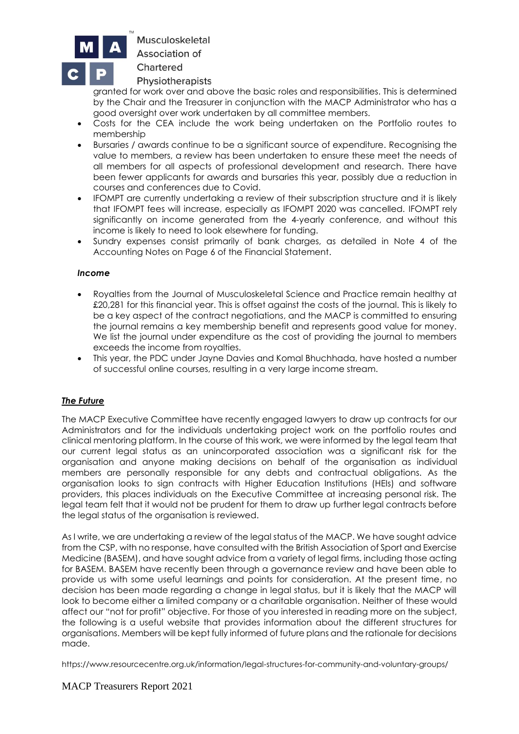

Musculoskeletal

**Association of** 

Chartered

Physiotherapists

granted for work over and above the basic roles and responsibilities. This is determined by the Chair and the Treasurer in conjunction with the MACP Administrator who has a good oversight over work undertaken by all committee members.

- Costs for the CEA include the work being undertaken on the Portfolio routes to membership
- Bursaries / awards continue to be a significant source of expenditure. Recognising the value to members, a review has been undertaken to ensure these meet the needs of all members for all aspects of professional development and research. There have been fewer applicants for awards and bursaries this year, possibly due a reduction in courses and conferences due to Covid.
- IFOMPT are currently undertaking a review of their subscription structure and it is likely that IFOMPT fees will increase, especially as IFOMPT 2020 was cancelled. IFOMPT rely significantly on income generated from the 4-yearly conference, and without this income is likely to need to look elsewhere for funding.
- Sundry expenses consist primarily of bank charges, as detailed in Note 4 of the Accounting Notes on Page 6 of the Financial Statement.

#### *Income*

- Royalties from the Journal of Musculoskeletal Science and Practice remain healthy at £20,281 for this financial year. This is offset against the costs of the journal. This is likely to be a key aspect of the contract negotiations, and the MACP is committed to ensuring the journal remains a key membership benefit and represents good value for money. We list the journal under expenditure as the cost of providing the journal to members exceeds the income from royalties.
- This year, the PDC under Jayne Davies and Komal Bhuchhada, have hosted a number of successful online courses, resulting in a very large income stream.

## *The Future*

The MACP Executive Committee have recently engaged lawyers to draw up contracts for our Administrators and for the individuals undertaking project work on the portfolio routes and clinical mentoring platform. In the course of this work, we were informed by the legal team that our current legal status as an unincorporated association was a significant risk for the organisation and anyone making decisions on behalf of the organisation as individual members are personally responsible for any debts and contractual obligations. As the organisation looks to sign contracts with Higher Education Institutions (HEIs) and software providers, this places individuals on the Executive Committee at increasing personal risk. The legal team felt that it would not be prudent for them to draw up further legal contracts before the legal status of the organisation is reviewed.

As I write, we are undertaking a review of the legal status of the MACP. We have sought advice from the CSP, with no response, have consulted with the British Association of Sport and Exercise Medicine (BASEM), and have sought advice from a variety of legal firms, including those acting for BASEM. BASEM have recently been through a governance review and have been able to provide us with some useful learnings and points for consideration. At the present time, no decision has been made regarding a change in legal status, but it is likely that the MACP will look to become either a limited company or a charitable organisation. Neither of these would affect our "not for profit" objective. For those of you interested in reading more on the subject, the following is a useful website that provides information about the different structures for organisations. Members will be kept fully informed of future plans and the rationale for decisions made.

https://www.resourcecentre.org.uk/information/legal-structures-for-community-and-voluntary-groups/

## MACP Treasurers Report 2021